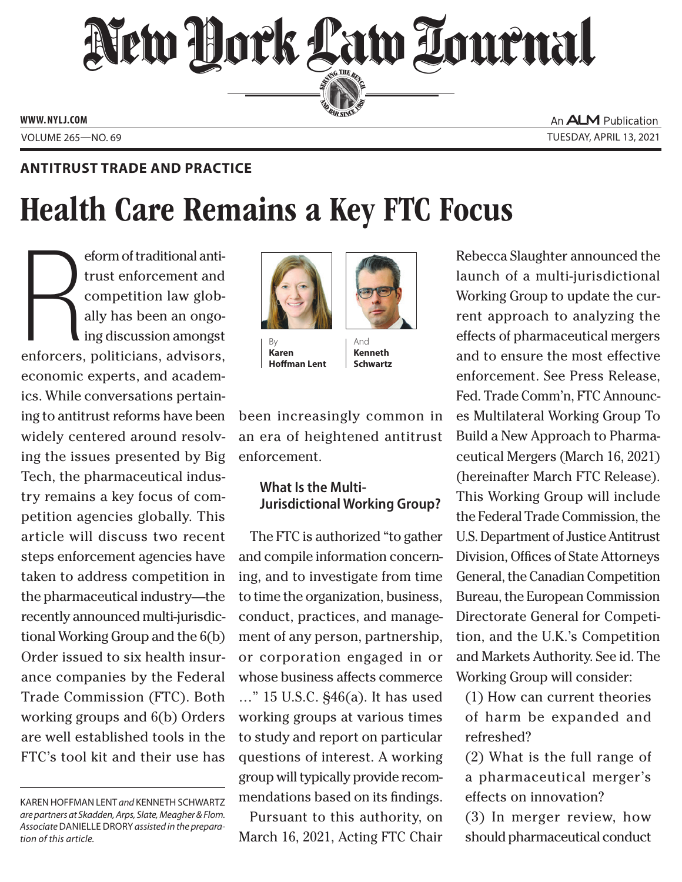# New York Law Lournal SERVING THE BET

**ED BAR SINCE 1888** 

**WWW. NYLJ.COM**

An **ALM** Publication VOLUME 265—NO. 69 TUESDAY, APRIL 13, 2021

## **ANTITRUST TRADE AND PRACTICE**

## Health Care Remains a Key FTC Focus

eform of traditional anti-<br>trust enforcement and<br>competition law glob-<br>ally has been an ongo-<br>ing discussion amongst<br>enforcers, politicians, advisors, eform of traditional antitrust enforcement and competition law globally has been an ongoing discussion amongst economic experts, and academics. While conversations pertaining to antitrust reforms have been widely centered around resolving the issues presented by Big Tech, the pharmaceutical industry remains a key focus of competition agencies globally. This article will discuss two recent steps enforcement agencies have taken to address competition in the pharmaceutical industry—the recently announced multi-jurisdictional Working Group and the 6(b) Order issued to six health insurance companies by the Federal Trade Commission (FTC). Both working groups and 6(b) Orders are well established tools in the FTC's tool kit and their use has



By **Karen Hoffman Lent**

And **Kenneth Schwartz**

been increasingly common in an era of heightened antitrust enforcement.

## **What Is the Multi-Jurisdictional Working Group?**

The FTC is authorized "to gather and compile information concerning, and to investigate from time to time the organization, business, conduct, practices, and management of any person, partnership, or corporation engaged in or whose business affects commerce …" 15 U.S.C. §46(a). It has used working groups at various times to study and report on particular questions of interest. A working group will typically provide recommendations based on its findings.

Pursuant to this authority, on March 16, 2021, Acting FTC Chair Rebecca Slaughter announced the launch of a multi-jurisdictional Working Group to update the current approach to analyzing the effects of pharmaceutical mergers and to ensure the most effective enforcement. See Press Release, Fed. Trade Comm'n, FTC Announces Multilateral Working Group To Build a New Approach to Pharmaceutical Mergers (March 16, 2021) (hereinafter March FTC Release). This Working Group will include the Federal Trade Commission, the U.S. Department of Justice Antitrust Division, Offices of State Attorneys General, the Canadian Competition Bureau, the European Commission Directorate General for Competition, and the U.K.'s Competition and Markets Authority. See id. The Working Group will consider:

(1) How can current theories of harm be expanded and refreshed?

(2) What is the full range of a pharmaceutical merger's effects on innovation?

(3) In merger review, how should pharmaceutical conduct

KAREN HOFFMAN LENT *and* KENNETH SCHWARTZ *are partners at Skadden, Arps, Slate, Meagher & Flom. Associate* DANIELLE DRORY *assisted in the preparation of this article.*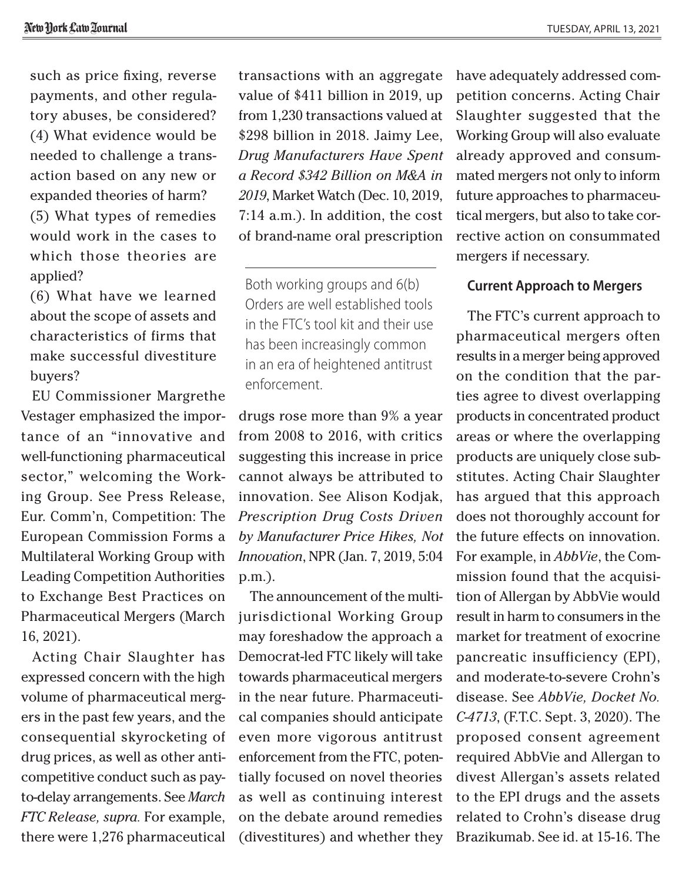such as price fixing, reverse payments, and other regulatory abuses, be considered? (4) What evidence would be needed to challenge a transaction based on any new or expanded theories of harm? (5) What types of remedies would work in the cases to which those theories are applied?

(6) What have we learned about the scope of assets and characteristics of firms that make successful divestiture buyers?

EU Commissioner Margrethe Vestager emphasized the importance of an "innovative and well-functioning pharmaceutical sector," welcoming the Working Group. See Press Release, Eur. Comm'n, Competition: The European Commission Forms a Multilateral Working Group with Leading Competition Authorities to Exchange Best Practices on Pharmaceutical Mergers (March 16, 2021).

Acting Chair Slaughter has expressed concern with the high volume of pharmaceutical mergers in the past few years, and the consequential skyrocketing of drug prices, as well as other anticompetitive conduct such as payto-delay arrangements. See *March FTC Release, supra.* For example, there were 1,276 pharmaceutical transactions with an aggregate value of \$411 billion in 2019, up from 1,230 transactions valued at \$298 billion in 2018. Jaimy Lee, *Drug Manufacturers Have Spent a Record \$342 Billion on M&A in 2019*, Market Watch (Dec. 10, 2019, 7:14 a.m.). In addition, the cost of brand-name oral prescription

Both working groups and 6(b) Orders are well established tools in the FTC's tool kit and their use has been increasingly common in an era of heightened antitrust enforcement.

drugs rose more than 9% a year from 2008 to 2016, with critics suggesting this increase in price cannot always be attributed to innovation. See Alison Kodjak, *Prescription Drug Costs Driven by Manufacturer Price Hikes, Not Innovation*, NPR (Jan. 7, 2019, 5:04 p.m.).

The announcement of the multijurisdictional Working Group may foreshadow the approach a Democrat-led FTC likely will take towards pharmaceutical mergers in the near future. Pharmaceutical companies should anticipate even more vigorous antitrust enforcement from the FTC, potentially focused on novel theories as well as continuing interest on the debate around remedies (divestitures) and whether they have adequately addressed competition concerns. Acting Chair Slaughter suggested that the Working Group will also evaluate already approved and consummated mergers not only to inform future approaches to pharmaceutical mergers, but also to take corrective action on consummated mergers if necessary.

#### **Current Approach to Mergers**

The FTC's current approach to pharmaceutical mergers often results in a merger being approved on the condition that the parties agree to divest overlapping products in concentrated product areas or where the overlapping products are uniquely close substitutes. Acting Chair Slaughter has argued that this approach does not thoroughly account for the future effects on innovation. For example, in *AbbVie*, the Commission found that the acquisition of Allergan by AbbVie would result in harm to consumers in the market for treatment of exocrine pancreatic insufficiency (EPI), and moderate-to-severe Crohn's disease. See *AbbVie, Docket No. C-4713*, (F.T.C. Sept. 3, 2020). The proposed consent agreement required AbbVie and Allergan to divest Allergan's assets related to the EPI drugs and the assets related to Crohn's disease drug Brazikumab. See id. at 15-16. The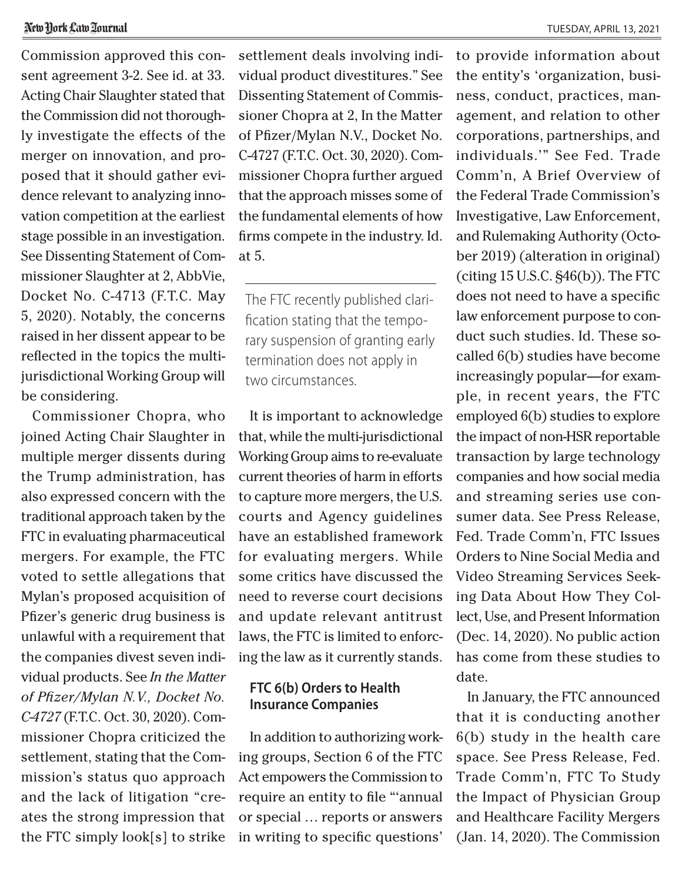#### New York Law Tournal

Commission approved this consent agreement 3-2. See id. at 33. Acting Chair Slaughter stated that the Commission did not thoroughly investigate the effects of the merger on innovation, and proposed that it should gather evidence relevant to analyzing innovation competition at the earliest stage possible in an investigation. See Dissenting Statement of Commissioner Slaughter at 2, AbbVie, Docket No. C-4713 (F.T.C. May 5, 2020). Notably, the concerns raised in her dissent appear to be reflected in the topics the multijurisdictional Working Group will be considering.

Commissioner Chopra, who joined Acting Chair Slaughter in multiple merger dissents during the Trump administration, has also expressed concern with the traditional approach taken by the FTC in evaluating pharmaceutical mergers. For example, the FTC voted to settle allegations that Mylan's proposed acquisition of Pfizer's generic drug business is unlawful with a requirement that the companies divest seven individual products. See *In the Matter of Pfizer/Mylan N.V., Docket No. C-4727* (F.T.C. Oct. 30, 2020). Commissioner Chopra criticized the settlement, stating that the Commission's status quo approach and the lack of litigation "creates the strong impression that the FTC simply look[s] to strike settlement deals involving individual product divestitures." See Dissenting Statement of Commissioner Chopra at 2, In the Matter of Pfizer/Mylan N.V., Docket No. C-4727 (F.T.C. Oct. 30, 2020). Commissioner Chopra further argued that the approach misses some of the fundamental elements of how firms compete in the industry. Id. at 5.

The FTC recently published clarification stating that the temporary suspension of granting early termination does not apply in two circumstances.

It is important to acknowledge that, while the multi-jurisdictional Working Group aims to re-evaluate current theories of harm in efforts to capture more mergers, the U.S. courts and Agency guidelines have an established framework for evaluating mergers. While some critics have discussed the need to reverse court decisions and update relevant antitrust laws, the FTC is limited to enforcing the law as it currently stands.

### **FTC 6(b) Orders to Health Insurance Companies**

In addition to authorizing working groups, Section 6 of the FTC Act empowers the Commission to require an entity to file "'annual or special … reports or answers in writing to specific questions'

to provide information about the entity's 'organization, business, conduct, practices, management, and relation to other corporations, partnerships, and individuals.'" See Fed. Trade Comm'n, A Brief Overview of the Federal Trade Commission's Investigative, Law Enforcement, and Rulemaking Authority (October 2019) (alteration in original) (citing 15 U.S.C. §46(b)). The FTC does not need to have a specific law enforcement purpose to conduct such studies. Id. These socalled 6(b) studies have become increasingly popular—for example, in recent years, the FTC employed 6(b) studies to explore the impact of non-HSR reportable transaction by large technology companies and how social media and streaming series use consumer data. See Press Release, Fed. Trade Comm'n, FTC Issues Orders to Nine Social Media and Video Streaming Services Seeking Data About How They Collect, Use, and Present Information (Dec. 14, 2020). No public action has come from these studies to date.

In January, the FTC announced that it is conducting another 6(b) study in the health care space. See Press Release, Fed. Trade Comm'n, FTC To Study the Impact of Physician Group and Healthcare Facility Mergers (Jan. 14, 2020). The Commission